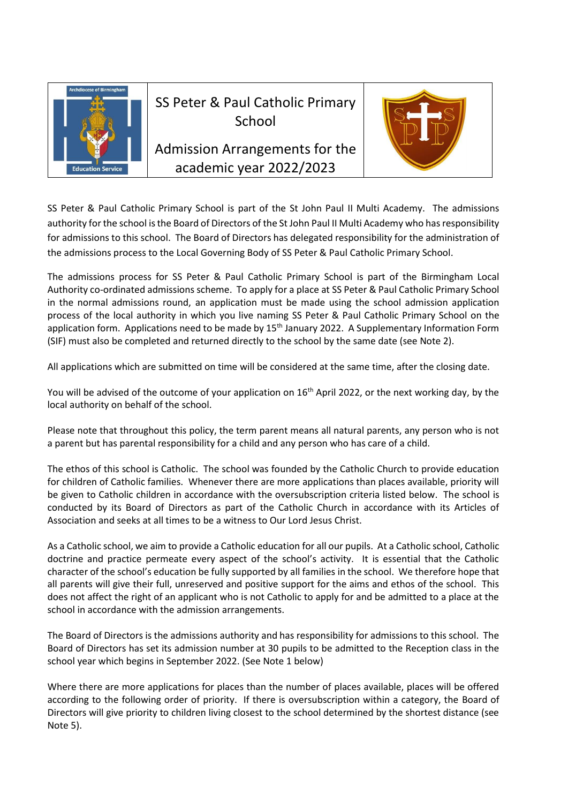

# SS Peter & Paul Catholic Primary School

Admission Arrangements for the academic year 2022/2023



SS Peter & Paul Catholic Primary School is part of the St John Paul II Multi Academy. The admissions authority for the school is the Board of Directors of the St John Paul II Multi Academy who has responsibility for admissions to this school. The Board of Directors has delegated responsibility for the administration of the admissions process to the Local Governing Body of SS Peter & Paul Catholic Primary School.

The admissions process for SS Peter & Paul Catholic Primary School is part of the Birmingham Local Authority co-ordinated admissions scheme. To apply for a place at SS Peter & Paul Catholic Primary School in the normal admissions round, an application must be made using the school admission application process of the local authority in which you live naming SS Peter & Paul Catholic Primary School on the application form. Applications need to be made by 15<sup>th</sup> January 2022. A Supplementary Information Form (SIF) must also be completed and returned directly to the school by the same date (see Note 2).

All applications which are submitted on time will be considered at the same time, after the closing date.

You will be advised of the outcome of your application on 16<sup>th</sup> April 2022, or the next working day, by the local authority on behalf of the school.

Please note that throughout this policy, the term parent means all natural parents, any person who is not a parent but has parental responsibility for a child and any person who has care of a child.

The ethos of this school is Catholic. The school was founded by the Catholic Church to provide education for children of Catholic families. Whenever there are more applications than places available, priority will be given to Catholic children in accordance with the oversubscription criteria listed below. The school is conducted by its Board of Directors as part of the Catholic Church in accordance with its Articles of Association and seeks at all times to be a witness to Our Lord Jesus Christ.

As a Catholic school, we aim to provide a Catholic education for all our pupils. At a Catholic school, Catholic doctrine and practice permeate every aspect of the school's activity. It is essential that the Catholic character of the school's education be fully supported by all families in the school. We therefore hope that all parents will give their full, unreserved and positive support for the aims and ethos of the school. This does not affect the right of an applicant who is not Catholic to apply for and be admitted to a place at the school in accordance with the admission arrangements.

The Board of Directors is the admissions authority and has responsibility for admissions to this school. The Board of Directors has set its admission number at 30 pupils to be admitted to the Reception class in the school year which begins in September 2022. (See Note 1 below)

Where there are more applications for places than the number of places available, places will be offered according to the following order of priority. If there is oversubscription within a category, the Board of Directors will give priority to children living closest to the school determined by the shortest distance (see Note 5).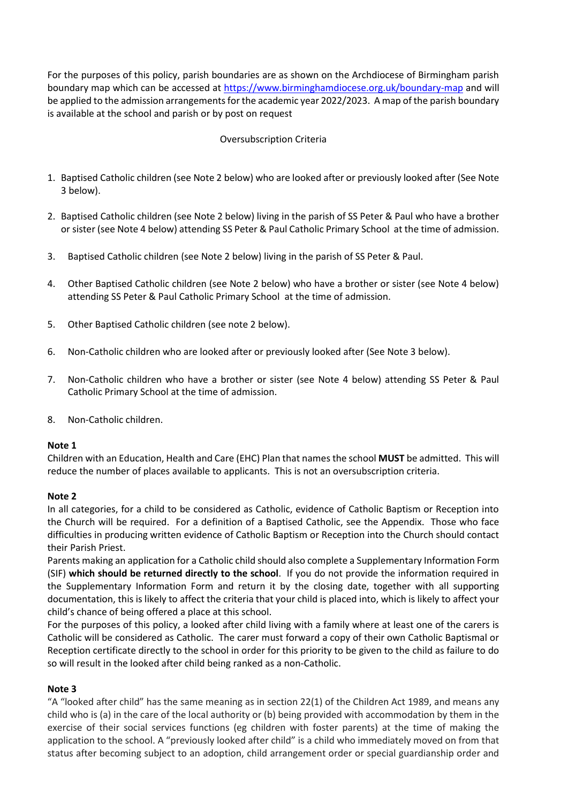For the purposes of this policy, parish boundaries are as shown on the Archdiocese of Birmingham parish boundary map which can be accessed at<https://www.birminghamdiocese.org.uk/boundary-map> and will be applied to the admission arrangements for the academic year 2022/2023. A map of the parish boundary is available at the school and parish or by post on request

# Oversubscription Criteria

- 1. Baptised Catholic children (see Note 2 below) who are looked after or previously looked after (See Note 3 below).
- 2. Baptised Catholic children (see Note 2 below) living in the parish of SS Peter & Paul who have a brother or sister (see Note 4 below) attending SS Peter & Paul Catholic Primary School at the time of admission.
- 3. Baptised Catholic children (see Note 2 below) living in the parish of SS Peter & Paul.
- 4. Other Baptised Catholic children (see Note 2 below) who have a brother or sister (see Note 4 below) attending SS Peter & Paul Catholic Primary School at the time of admission.
- 5. Other Baptised Catholic children (see note 2 below).
- 6. Non-Catholic children who are looked after or previously looked after (See Note 3 below).
- 7. Non-Catholic children who have a brother or sister (see Note 4 below) attending SS Peter & Paul Catholic Primary School at the time of admission.
- 8. Non-Catholic children.

#### **Note 1**

Children with an Education, Health and Care (EHC) Plan that names the school **MUST** be admitted. This will reduce the number of places available to applicants. This is not an oversubscription criteria.

#### **Note 2**

In all categories, for a child to be considered as Catholic, evidence of Catholic Baptism or Reception into the Church will be required. For a definition of a Baptised Catholic, see the Appendix. Those who face difficulties in producing written evidence of Catholic Baptism or Reception into the Church should contact their Parish Priest.

Parents making an application for a Catholic child should also complete a Supplementary Information Form (SIF) **which should be returned directly to the school**. If you do not provide the information required in the Supplementary Information Form and return it by the closing date, together with all supporting documentation, this is likely to affect the criteria that your child is placed into, which is likely to affect your child's chance of being offered a place at this school.

For the purposes of this policy, a looked after child living with a family where at least one of the carers is Catholic will be considered as Catholic. The carer must forward a copy of their own Catholic Baptismal or Reception certificate directly to the school in order for this priority to be given to the child as failure to do so will result in the looked after child being ranked as a non-Catholic.

#### **Note 3**

"A "looked after child" has the same meaning as in section 22(1) of the Children Act 1989, and means any child who is (a) in the care of the local authority or (b) being provided with accommodation by them in the exercise of their social services functions (eg children with foster parents) at the time of making the application to the school. A "previously looked after child" is a child who immediately moved on from that status after becoming subject to an adoption, child arrangement order or special guardianship order and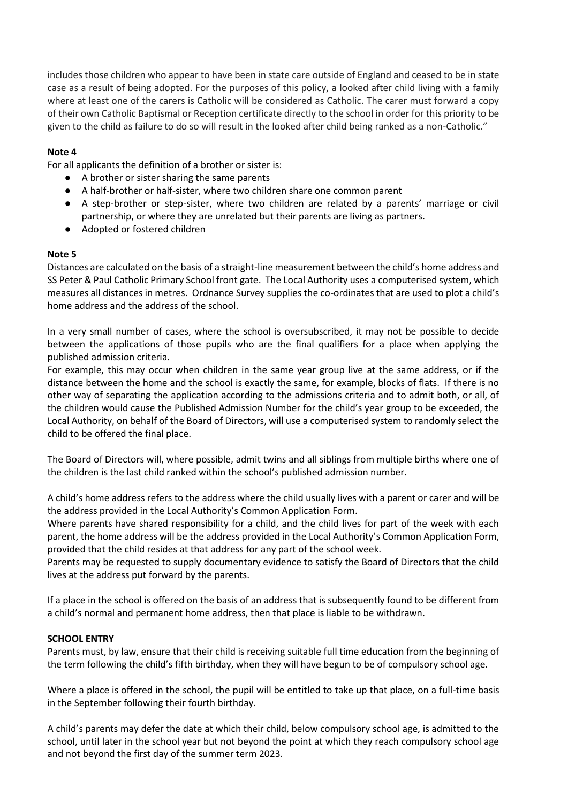includes those children who appear to have been in state care outside of England and ceased to be in state case as a result of being adopted. For the purposes of this policy, a looked after child living with a family where at least one of the carers is Catholic will be considered as Catholic. The carer must forward a copy of their own Catholic Baptismal or Reception certificate directly to the school in order for this priority to be given to the child as failure to do so will result in the looked after child being ranked as a non-Catholic."

# **Note 4**

For all applicants the definition of a brother or sister is:

- A brother or sister sharing the same parents
- A half-brother or half-sister, where two children share one common parent
- A step-brother or step-sister, where two children are related by a parents' marriage or civil partnership, or where they are unrelated but their parents are living as partners.
- Adopted or fostered children

#### **Note 5**

Distances are calculated on the basis of a straight-line measurement between the child's home address and SS Peter & Paul Catholic Primary School front gate. The Local Authority uses a computerised system, which measures all distances in metres. Ordnance Survey supplies the co-ordinates that are used to plot a child's home address and the address of the school.

In a very small number of cases, where the school is oversubscribed, it may not be possible to decide between the applications of those pupils who are the final qualifiers for a place when applying the published admission criteria.

For example, this may occur when children in the same year group live at the same address, or if the distance between the home and the school is exactly the same, for example, blocks of flats. If there is no other way of separating the application according to the admissions criteria and to admit both, or all, of the children would cause the Published Admission Number for the child's year group to be exceeded, the Local Authority, on behalf of the Board of Directors, will use a computerised system to randomly select the child to be offered the final place.

The Board of Directors will, where possible, admit twins and all siblings from multiple births where one of the children is the last child ranked within the school's published admission number.

A child's home address refers to the address where the child usually lives with a parent or carer and will be the address provided in the Local Authority's Common Application Form.

Where parents have shared responsibility for a child, and the child lives for part of the week with each parent, the home address will be the address provided in the Local Authority's Common Application Form, provided that the child resides at that address for any part of the school week.

Parents may be requested to supply documentary evidence to satisfy the Board of Directors that the child lives at the address put forward by the parents.

If a place in the school is offered on the basis of an address that is subsequently found to be different from a child's normal and permanent home address, then that place is liable to be withdrawn.

#### **SCHOOL ENTRY**

Parents must, by law, ensure that their child is receiving suitable full time education from the beginning of the term following the child's fifth birthday, when they will have begun to be of compulsory school age.

Where a place is offered in the school, the pupil will be entitled to take up that place, on a full-time basis in the September following their fourth birthday.

A child's parents may defer the date at which their child, below compulsory school age, is admitted to the school, until later in the school year but not beyond the point at which they reach compulsory school age and not beyond the first day of the summer term 2023.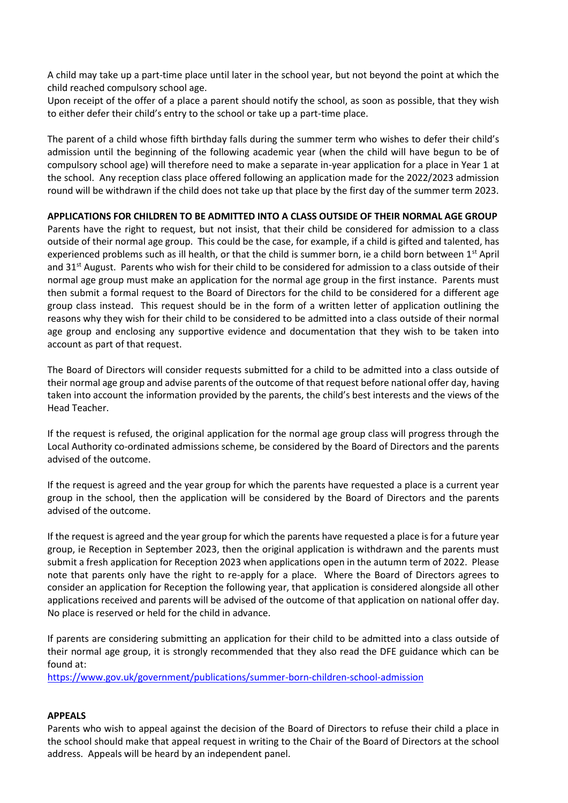A child may take up a part-time place until later in the school year, but not beyond the point at which the child reached compulsory school age.

Upon receipt of the offer of a place a parent should notify the school, as soon as possible, that they wish to either defer their child's entry to the school or take up a part-time place.

The parent of a child whose fifth birthday falls during the summer term who wishes to defer their child's admission until the beginning of the following academic year (when the child will have begun to be of compulsory school age) will therefore need to make a separate in-year application for a place in Year 1 at the school. Any reception class place offered following an application made for the 2022/2023 admission round will be withdrawn if the child does not take up that place by the first day of the summer term 2023.

### **APPLICATIONS FOR CHILDREN TO BE ADMITTED INTO A CLASS OUTSIDE OF THEIR NORMAL AGE GROUP**

Parents have the right to request, but not insist, that their child be considered for admission to a class outside of their normal age group. This could be the case, for example, if a child is gifted and talented, has experienced problems such as ill health, or that the child is summer born, ie a child born between 1<sup>st</sup> April and 31<sup>st</sup> August. Parents who wish for their child to be considered for admission to a class outside of their normal age group must make an application for the normal age group in the first instance. Parents must then submit a formal request to the Board of Directors for the child to be considered for a different age group class instead. This request should be in the form of a written letter of application outlining the reasons why they wish for their child to be considered to be admitted into a class outside of their normal age group and enclosing any supportive evidence and documentation that they wish to be taken into account as part of that request.

The Board of Directors will consider requests submitted for a child to be admitted into a class outside of their normal age group and advise parents of the outcome of that request before national offer day, having taken into account the information provided by the parents, the child's best interests and the views of the Head Teacher.

If the request is refused, the original application for the normal age group class will progress through the Local Authority co-ordinated admissions scheme, be considered by the Board of Directors and the parents advised of the outcome.

If the request is agreed and the year group for which the parents have requested a place is a current year group in the school, then the application will be considered by the Board of Directors and the parents advised of the outcome.

If the request is agreed and the year group for which the parents have requested a place is for a future year group, ie Reception in September 2023, then the original application is withdrawn and the parents must submit a fresh application for Reception 2023 when applications open in the autumn term of 2022. Please note that parents only have the right to re-apply for a place. Where the Board of Directors agrees to consider an application for Reception the following year, that application is considered alongside all other applications received and parents will be advised of the outcome of that application on national offer day. No place is reserved or held for the child in advance.

If parents are considering submitting an application for their child to be admitted into a class outside of their normal age group, it is strongly recommended that they also read the DFE guidance which can be found at:

<https://www.gov.uk/government/publications/summer-born-children-school-admission>

#### **APPEALS**

Parents who wish to appeal against the decision of the Board of Directors to refuse their child a place in the school should make that appeal request in writing to the Chair of the Board of Directors at the school address. Appeals will be heard by an independent panel.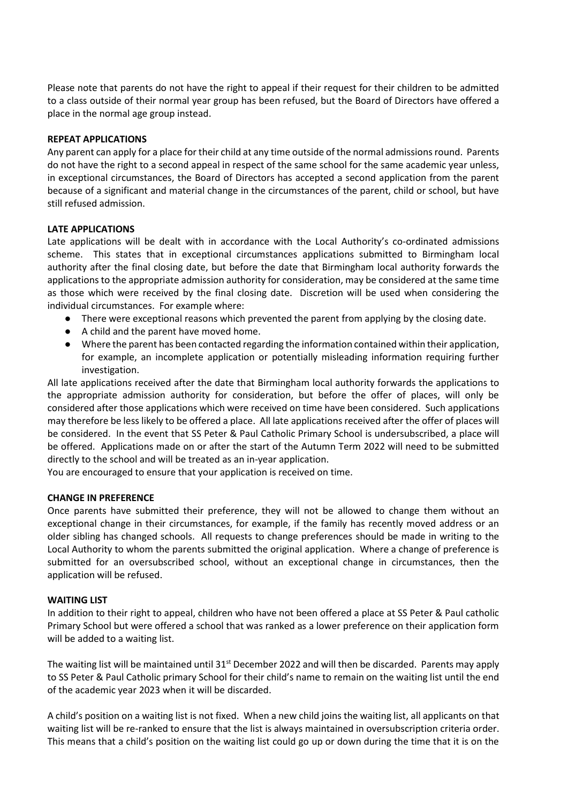Please note that parents do not have the right to appeal if their request for their children to be admitted to a class outside of their normal year group has been refused, but the Board of Directors have offered a place in the normal age group instead.

#### **REPEAT APPLICATIONS**

Any parent can apply for a place for their child at any time outside of the normal admissions round. Parents do not have the right to a second appeal in respect of the same school for the same academic year unless, in exceptional circumstances, the Board of Directors has accepted a second application from the parent because of a significant and material change in the circumstances of the parent, child or school, but have still refused admission.

#### **LATE APPLICATIONS**

Late applications will be dealt with in accordance with the Local Authority's co-ordinated admissions scheme. This states that in exceptional circumstances applications submitted to Birmingham local authority after the final closing date, but before the date that Birmingham local authority forwards the applications to the appropriate admission authority for consideration, may be considered at the same time as those which were received by the final closing date. Discretion will be used when considering the individual circumstances. For example where:

- There were exceptional reasons which prevented the parent from applying by the closing date.
- A child and the parent have moved home.
- Where the parent has been contacted regarding the information contained within their application, for example, an incomplete application or potentially misleading information requiring further investigation.

All late applications received after the date that Birmingham local authority forwards the applications to the appropriate admission authority for consideration, but before the offer of places, will only be considered after those applications which were received on time have been considered. Such applications may therefore be less likely to be offered a place. All late applications received after the offer of places will be considered. In the event that SS Peter & Paul Catholic Primary School is undersubscribed, a place will be offered. Applications made on or after the start of the Autumn Term 2022 will need to be submitted directly to the school and will be treated as an in-year application.

You are encouraged to ensure that your application is received on time.

#### **CHANGE IN PREFERENCE**

Once parents have submitted their preference, they will not be allowed to change them without an exceptional change in their circumstances, for example, if the family has recently moved address or an older sibling has changed schools. All requests to change preferences should be made in writing to the Local Authority to whom the parents submitted the original application. Where a change of preference is submitted for an oversubscribed school, without an exceptional change in circumstances, then the application will be refused.

#### **WAITING LIST**

In addition to their right to appeal, children who have not been offered a place at SS Peter & Paul catholic Primary School but were offered a school that was ranked as a lower preference on their application form will be added to a waiting list.

The waiting list will be maintained until  $31<sup>st</sup>$  December 2022 and will then be discarded. Parents may apply to SS Peter & Paul Catholic primary School for their child's name to remain on the waiting list until the end of the academic year 2023 when it will be discarded.

A child's position on a waiting list is not fixed. When a new child joins the waiting list, all applicants on that waiting list will be re-ranked to ensure that the list is always maintained in oversubscription criteria order. This means that a child's position on the waiting list could go up or down during the time that it is on the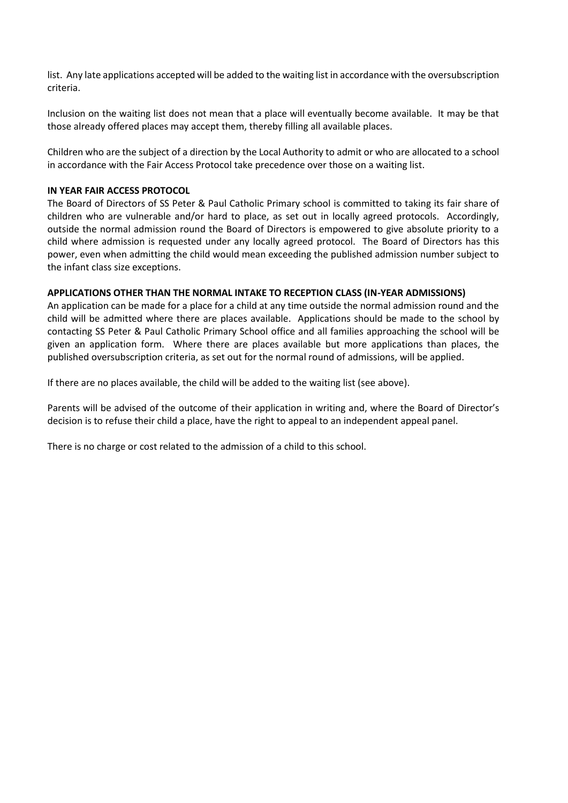list. Any late applications accepted will be added to the waiting list in accordance with the oversubscription criteria.

Inclusion on the waiting list does not mean that a place will eventually become available. It may be that those already offered places may accept them, thereby filling all available places.

Children who are the subject of a direction by the Local Authority to admit or who are allocated to a school in accordance with the Fair Access Protocol take precedence over those on a waiting list.

#### **IN YEAR FAIR ACCESS PROTOCOL**

The Board of Directors of SS Peter & Paul Catholic Primary school is committed to taking its fair share of children who are vulnerable and/or hard to place, as set out in locally agreed protocols. Accordingly, outside the normal admission round the Board of Directors is empowered to give absolute priority to a child where admission is requested under any locally agreed protocol. The Board of Directors has this power, even when admitting the child would mean exceeding the published admission number subject to the infant class size exceptions.

#### **APPLICATIONS OTHER THAN THE NORMAL INTAKE TO RECEPTION CLASS (IN-YEAR ADMISSIONS)**

An application can be made for a place for a child at any time outside the normal admission round and the child will be admitted where there are places available. Applications should be made to the school by contacting SS Peter & Paul Catholic Primary School office and all families approaching the school will be given an application form. Where there are places available but more applications than places, the published oversubscription criteria, as set out for the normal round of admissions, will be applied.

If there are no places available, the child will be added to the waiting list (see above).

Parents will be advised of the outcome of their application in writing and, where the Board of Director's decision is to refuse their child a place, have the right to appeal to an independent appeal panel.

There is no charge or cost related to the admission of a child to this school.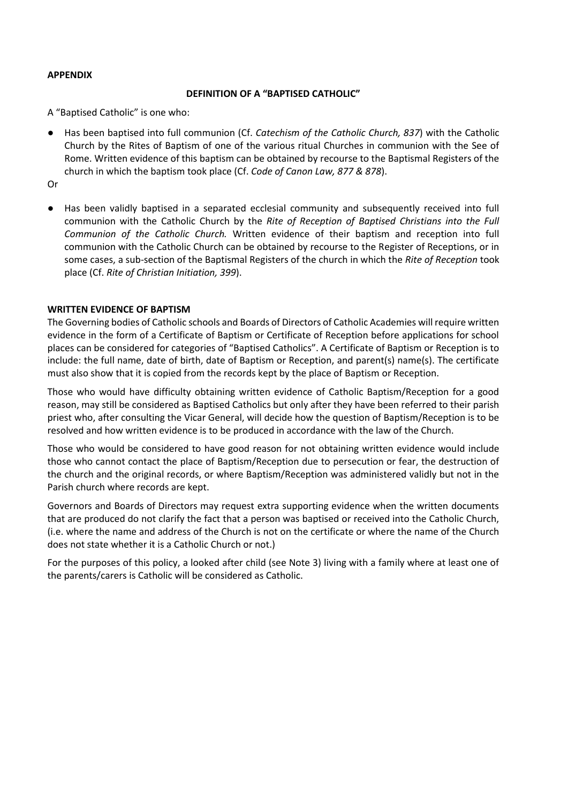#### **APPENDIX**

#### **DEFINITION OF A "BAPTISED CATHOLIC"**

A "Baptised Catholic" is one who:

● Has been baptised into full communion (Cf. *Catechism of the Catholic Church, 837*) with the Catholic Church by the Rites of Baptism of one of the various ritual Churches in communion with the See of Rome. Written evidence of this baptism can be obtained by recourse to the Baptismal Registers of the church in which the baptism took place (Cf. *Code of Canon Law, 877 & 878*).

Or

● Has been validly baptised in a separated ecclesial community and subsequently received into full communion with the Catholic Church by the *Rite of Reception of Baptised Christians into the Full Communion of the Catholic Church.* Written evidence of their baptism and reception into full communion with the Catholic Church can be obtained by recourse to the Register of Receptions, or in some cases, a sub-section of the Baptismal Registers of the church in which the *Rite of Reception* took place (Cf. *Rite of Christian Initiation, 399*).

### **WRITTEN EVIDENCE OF BAPTISM**

The Governing bodies of Catholic schools and Boards of Directors of Catholic Academies will require written evidence in the form of a Certificate of Baptism or Certificate of Reception before applications for school places can be considered for categories of "Baptised Catholics". A Certificate of Baptism or Reception is to include: the full name, date of birth, date of Baptism or Reception, and parent(s) name(s). The certificate must also show that it is copied from the records kept by the place of Baptism or Reception.

Those who would have difficulty obtaining written evidence of Catholic Baptism/Reception for a good reason, may still be considered as Baptised Catholics but only after they have been referred to their parish priest who, after consulting the Vicar General, will decide how the question of Baptism/Reception is to be resolved and how written evidence is to be produced in accordance with the law of the Church.

Those who would be considered to have good reason for not obtaining written evidence would include those who cannot contact the place of Baptism/Reception due to persecution or fear, the destruction of the church and the original records, or where Baptism/Reception was administered validly but not in the Parish church where records are kept.

Governors and Boards of Directors may request extra supporting evidence when the written documents that are produced do not clarify the fact that a person was baptised or received into the Catholic Church, (i.e. where the name and address of the Church is not on the certificate or where the name of the Church does not state whether it is a Catholic Church or not.)

For the purposes of this policy, a looked after child (see Note 3) living with a family where at least one of the parents/carers is Catholic will be considered as Catholic.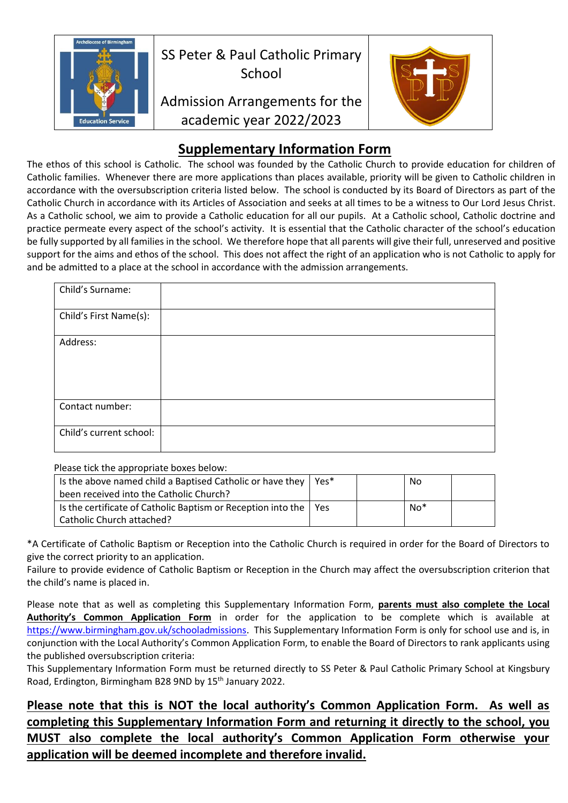

# **Supplementary Information Form**

The ethos of this school is Catholic. The school was founded by the Catholic Church to provide education for children of Catholic families. Whenever there are more applications than places available, priority will be given to Catholic children in accordance with the oversubscription criteria listed below. The school is conducted by its Board of Directors as part of the Catholic Church in accordance with its Articles of Association and seeks at all times to be a witness to Our Lord Jesus Christ. As a Catholic school, we aim to provide a Catholic education for all our pupils. At a Catholic school, Catholic doctrine and practice permeate every aspect of the school's activity. It is essential that the Catholic character of the school's education be fully supported by all families in the school. We therefore hope that all parents will give their full, unreserved and positive support for the aims and ethos of the school. This does not affect the right of an application who is not Catholic to apply for and be admitted to a place at the school in accordance with the admission arrangements.

| Child's Surname:        |  |
|-------------------------|--|
| Child's First Name(s):  |  |
| Address:                |  |
| Contact number:         |  |
| Child's current school: |  |

Please tick the appropriate boxes below:

| Is the above named child a Baptised Catholic or have they<br>been received into the Catholic Church?    | Yes* | No    |  |
|---------------------------------------------------------------------------------------------------------|------|-------|--|
| Is the certificate of Catholic Baptism or Reception into the $\vert$ Yes<br>  Catholic Church attached? |      | $No*$ |  |

\*A Certificate of Catholic Baptism or Reception into the Catholic Church is required in order for the Board of Directors to give the correct priority to an application.

Failure to provide evidence of Catholic Baptism or Reception in the Church may affect the oversubscription criterion that the child's name is placed in.

Please note that as well as completing this Supplementary Information Form, **parents must also complete the Local Authority's Common Application Form** in order for the application to be complete which is available at [https://www.birmingham.gov.uk/schooladmissions.](https://www.birmingham.gov.uk/schooladmissions) This Supplementary Information Form is only for school use and is, in conjunction with the Local Authority's Common Application Form, to enable the Board of Directors to rank applicants using the published oversubscription criteria:

This Supplementary Information Form must be returned directly to SS Peter & Paul Catholic Primary School at Kingsbury Road, Erdington, Birmingham B28 9ND by 15<sup>th</sup> January 2022.

# **Please note that this is NOT the local authority's Common Application Form. As well as completing this Supplementary Information Form and returning it directly to the school, you MUST also complete the local authority's Common Application Form otherwise your application will be deemed incomplete and therefore invalid.**